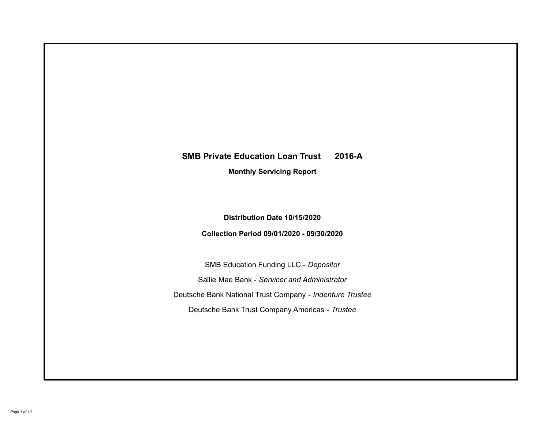# **SMB Private Education Loan Trust 2016-A Monthly Servicing Report**

**Distribution Date 10/15/2020**

**Collection Period 09/01/2020 - 09/30/2020**

SMB Education Funding LLC - *Depositor* Sallie Mae Bank - *Servicer and Administrator* Deutsche Bank National Trust Company - *Indenture Trustee* Deutsche Bank Trust Company Americas - *Trustee*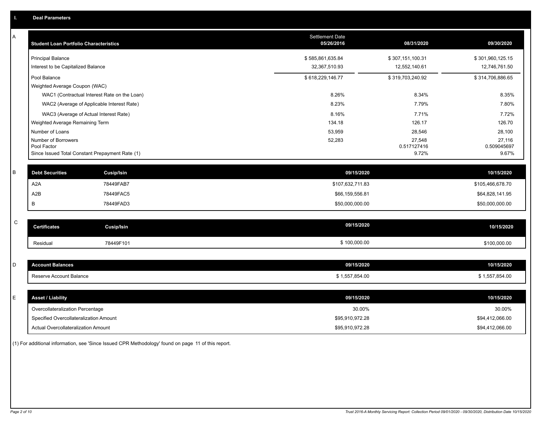| A           | <b>Student Loan Portfolio Characteristics</b>                  | <b>Settlement Date</b><br>05/26/2016 | 08/31/2020           | 09/30/2020           |
|-------------|----------------------------------------------------------------|--------------------------------------|----------------------|----------------------|
|             | <b>Principal Balance</b>                                       | \$585,861,635.84                     | \$307,151,100.31     | \$301,960,125.15     |
|             | Interest to be Capitalized Balance                             | 32,367,510.93                        | 12,552,140.61        | 12,746,761.50        |
|             | Pool Balance                                                   | \$618,229,146.77                     | \$319,703,240.92     | \$314,706,886.65     |
|             | Weighted Average Coupon (WAC)                                  |                                      |                      |                      |
|             | WAC1 (Contractual Interest Rate on the Loan)                   | 8.26%                                | 8.34%                | 8.35%                |
|             | WAC2 (Average of Applicable Interest Rate)                     | 8.23%                                | 7.79%                | 7.80%                |
|             | WAC3 (Average of Actual Interest Rate)                         | 8.16%                                | 7.71%                | 7.72%                |
|             | Weighted Average Remaining Term                                | 134.18                               | 126.17               | 126.70               |
|             | Number of Loans                                                | 53,959                               | 28,546               | 28,100               |
|             | Number of Borrowers                                            | 52,283                               | 27,548               | 27,116               |
|             | Pool Factor<br>Since Issued Total Constant Prepayment Rate (1) |                                      | 0.517127416<br>9.72% | 0.509045697<br>9.67% |
|             |                                                                |                                      |                      |                      |
| $\sf B$     | <b>Debt Securities</b><br><b>Cusip/Isin</b>                    | 09/15/2020                           |                      | 10/15/2020           |
|             | A <sub>2</sub> A<br>78449FAB7                                  | \$107,632,711.83                     |                      | \$105,466,678.70     |
|             | A <sub>2</sub> B<br>78449FAC5                                  | \$66,159,556.81                      |                      | \$64,828,141.95      |
|             | В<br>78449FAD3                                                 | \$50,000,000.00                      |                      | \$50,000,000.00      |
|             |                                                                |                                      |                      |                      |
| $\mathsf C$ | <b>Cusip/Isin</b><br><b>Certificates</b>                       | 09/15/2020                           |                      | 10/15/2020           |
|             | 78449F101<br>Residual                                          | \$100,000.00                         |                      | \$100,000.00         |
|             |                                                                |                                      |                      |                      |
| D           | <b>Account Balances</b>                                        | 09/15/2020                           |                      | 10/15/2020           |
|             | Reserve Account Balance                                        | \$1,557,854.00                       |                      | \$1,557,854.00       |
|             |                                                                |                                      |                      |                      |
| E           | <b>Asset / Liability</b>                                       | 09/15/2020                           |                      | 10/15/2020           |
|             | Overcollateralization Percentage                               | 30.00%                               |                      | 30.00%               |
|             | Specified Overcollateralization Amount                         | \$95,910,972.28                      |                      | \$94,412,066.00      |
|             | Actual Overcollateralization Amount                            | \$95,910,972.28                      |                      | \$94,412,066.00      |

(1) For additional information, see 'Since Issued CPR Methodology' found on page 11 of this report.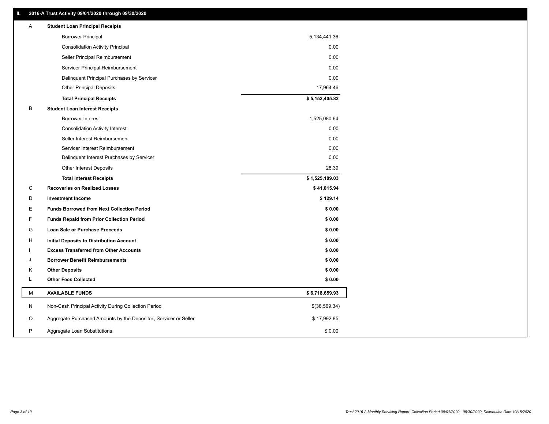# **II. 2016-A Trust Activity 09/01/2020 through 09/30/2020**

| <b>Borrower Principal</b><br>5,134,441.36<br>0.00<br><b>Consolidation Activity Principal</b><br>Seller Principal Reimbursement<br>0.00<br>Servicer Principal Reimbursement<br>0.00<br>0.00<br>Delinquent Principal Purchases by Servicer<br>17,964.46<br><b>Other Principal Deposits</b><br>\$5,152,405.82<br><b>Total Principal Receipts</b><br>B<br><b>Student Loan Interest Receipts</b><br><b>Borrower Interest</b><br>1,525,080.64<br>0.00<br><b>Consolidation Activity Interest</b><br>0.00<br>Seller Interest Reimbursement<br>0.00<br>Servicer Interest Reimbursement<br>0.00<br>Delinquent Interest Purchases by Servicer<br>28.39<br>Other Interest Deposits<br>\$1,525,109.03<br><b>Total Interest Receipts</b><br>C<br><b>Recoveries on Realized Losses</b><br>\$41,015.94<br>D<br>\$129.14<br><b>Investment Income</b><br>Ε<br><b>Funds Borrowed from Next Collection Period</b><br>\$0.00<br>F<br>\$0.00<br><b>Funds Repaid from Prior Collection Period</b><br>G<br>\$0.00<br>Loan Sale or Purchase Proceeds<br>\$0.00<br>H<br>Initial Deposits to Distribution Account<br><b>Excess Transferred from Other Accounts</b><br>\$0.00<br>\$0.00<br>J<br><b>Borrower Benefit Reimbursements</b><br><b>Other Deposits</b><br>\$0.00<br>Κ<br>Г<br><b>Other Fees Collected</b><br>\$0.00<br>М<br><b>AVAILABLE FUNDS</b><br>\$6,718,659.93<br>Non-Cash Principal Activity During Collection Period<br>N<br>\$(38,569.34)<br>Aggregate Purchased Amounts by the Depositor, Servicer or Seller<br>O<br>\$17,992.85<br>P<br>\$0.00<br>Aggregate Loan Substitutions | Α | <b>Student Loan Principal Receipts</b> |  |
|------------------------------------------------------------------------------------------------------------------------------------------------------------------------------------------------------------------------------------------------------------------------------------------------------------------------------------------------------------------------------------------------------------------------------------------------------------------------------------------------------------------------------------------------------------------------------------------------------------------------------------------------------------------------------------------------------------------------------------------------------------------------------------------------------------------------------------------------------------------------------------------------------------------------------------------------------------------------------------------------------------------------------------------------------------------------------------------------------------------------------------------------------------------------------------------------------------------------------------------------------------------------------------------------------------------------------------------------------------------------------------------------------------------------------------------------------------------------------------------------------------------------------------------------------------------------|---|----------------------------------------|--|
|                                                                                                                                                                                                                                                                                                                                                                                                                                                                                                                                                                                                                                                                                                                                                                                                                                                                                                                                                                                                                                                                                                                                                                                                                                                                                                                                                                                                                                                                                                                                                                        |   |                                        |  |
|                                                                                                                                                                                                                                                                                                                                                                                                                                                                                                                                                                                                                                                                                                                                                                                                                                                                                                                                                                                                                                                                                                                                                                                                                                                                                                                                                                                                                                                                                                                                                                        |   |                                        |  |
|                                                                                                                                                                                                                                                                                                                                                                                                                                                                                                                                                                                                                                                                                                                                                                                                                                                                                                                                                                                                                                                                                                                                                                                                                                                                                                                                                                                                                                                                                                                                                                        |   |                                        |  |
|                                                                                                                                                                                                                                                                                                                                                                                                                                                                                                                                                                                                                                                                                                                                                                                                                                                                                                                                                                                                                                                                                                                                                                                                                                                                                                                                                                                                                                                                                                                                                                        |   |                                        |  |
|                                                                                                                                                                                                                                                                                                                                                                                                                                                                                                                                                                                                                                                                                                                                                                                                                                                                                                                                                                                                                                                                                                                                                                                                                                                                                                                                                                                                                                                                                                                                                                        |   |                                        |  |
|                                                                                                                                                                                                                                                                                                                                                                                                                                                                                                                                                                                                                                                                                                                                                                                                                                                                                                                                                                                                                                                                                                                                                                                                                                                                                                                                                                                                                                                                                                                                                                        |   |                                        |  |
|                                                                                                                                                                                                                                                                                                                                                                                                                                                                                                                                                                                                                                                                                                                                                                                                                                                                                                                                                                                                                                                                                                                                                                                                                                                                                                                                                                                                                                                                                                                                                                        |   |                                        |  |
|                                                                                                                                                                                                                                                                                                                                                                                                                                                                                                                                                                                                                                                                                                                                                                                                                                                                                                                                                                                                                                                                                                                                                                                                                                                                                                                                                                                                                                                                                                                                                                        |   |                                        |  |
|                                                                                                                                                                                                                                                                                                                                                                                                                                                                                                                                                                                                                                                                                                                                                                                                                                                                                                                                                                                                                                                                                                                                                                                                                                                                                                                                                                                                                                                                                                                                                                        |   |                                        |  |
|                                                                                                                                                                                                                                                                                                                                                                                                                                                                                                                                                                                                                                                                                                                                                                                                                                                                                                                                                                                                                                                                                                                                                                                                                                                                                                                                                                                                                                                                                                                                                                        |   |                                        |  |
|                                                                                                                                                                                                                                                                                                                                                                                                                                                                                                                                                                                                                                                                                                                                                                                                                                                                                                                                                                                                                                                                                                                                                                                                                                                                                                                                                                                                                                                                                                                                                                        |   |                                        |  |
|                                                                                                                                                                                                                                                                                                                                                                                                                                                                                                                                                                                                                                                                                                                                                                                                                                                                                                                                                                                                                                                                                                                                                                                                                                                                                                                                                                                                                                                                                                                                                                        |   |                                        |  |
|                                                                                                                                                                                                                                                                                                                                                                                                                                                                                                                                                                                                                                                                                                                                                                                                                                                                                                                                                                                                                                                                                                                                                                                                                                                                                                                                                                                                                                                                                                                                                                        |   |                                        |  |
|                                                                                                                                                                                                                                                                                                                                                                                                                                                                                                                                                                                                                                                                                                                                                                                                                                                                                                                                                                                                                                                                                                                                                                                                                                                                                                                                                                                                                                                                                                                                                                        |   |                                        |  |
|                                                                                                                                                                                                                                                                                                                                                                                                                                                                                                                                                                                                                                                                                                                                                                                                                                                                                                                                                                                                                                                                                                                                                                                                                                                                                                                                                                                                                                                                                                                                                                        |   |                                        |  |
|                                                                                                                                                                                                                                                                                                                                                                                                                                                                                                                                                                                                                                                                                                                                                                                                                                                                                                                                                                                                                                                                                                                                                                                                                                                                                                                                                                                                                                                                                                                                                                        |   |                                        |  |
|                                                                                                                                                                                                                                                                                                                                                                                                                                                                                                                                                                                                                                                                                                                                                                                                                                                                                                                                                                                                                                                                                                                                                                                                                                                                                                                                                                                                                                                                                                                                                                        |   |                                        |  |
|                                                                                                                                                                                                                                                                                                                                                                                                                                                                                                                                                                                                                                                                                                                                                                                                                                                                                                                                                                                                                                                                                                                                                                                                                                                                                                                                                                                                                                                                                                                                                                        |   |                                        |  |
|                                                                                                                                                                                                                                                                                                                                                                                                                                                                                                                                                                                                                                                                                                                                                                                                                                                                                                                                                                                                                                                                                                                                                                                                                                                                                                                                                                                                                                                                                                                                                                        |   |                                        |  |
|                                                                                                                                                                                                                                                                                                                                                                                                                                                                                                                                                                                                                                                                                                                                                                                                                                                                                                                                                                                                                                                                                                                                                                                                                                                                                                                                                                                                                                                                                                                                                                        |   |                                        |  |
|                                                                                                                                                                                                                                                                                                                                                                                                                                                                                                                                                                                                                                                                                                                                                                                                                                                                                                                                                                                                                                                                                                                                                                                                                                                                                                                                                                                                                                                                                                                                                                        |   |                                        |  |
|                                                                                                                                                                                                                                                                                                                                                                                                                                                                                                                                                                                                                                                                                                                                                                                                                                                                                                                                                                                                                                                                                                                                                                                                                                                                                                                                                                                                                                                                                                                                                                        |   |                                        |  |
|                                                                                                                                                                                                                                                                                                                                                                                                                                                                                                                                                                                                                                                                                                                                                                                                                                                                                                                                                                                                                                                                                                                                                                                                                                                                                                                                                                                                                                                                                                                                                                        |   |                                        |  |
|                                                                                                                                                                                                                                                                                                                                                                                                                                                                                                                                                                                                                                                                                                                                                                                                                                                                                                                                                                                                                                                                                                                                                                                                                                                                                                                                                                                                                                                                                                                                                                        |   |                                        |  |
|                                                                                                                                                                                                                                                                                                                                                                                                                                                                                                                                                                                                                                                                                                                                                                                                                                                                                                                                                                                                                                                                                                                                                                                                                                                                                                                                                                                                                                                                                                                                                                        |   |                                        |  |
|                                                                                                                                                                                                                                                                                                                                                                                                                                                                                                                                                                                                                                                                                                                                                                                                                                                                                                                                                                                                                                                                                                                                                                                                                                                                                                                                                                                                                                                                                                                                                                        |   |                                        |  |
|                                                                                                                                                                                                                                                                                                                                                                                                                                                                                                                                                                                                                                                                                                                                                                                                                                                                                                                                                                                                                                                                                                                                                                                                                                                                                                                                                                                                                                                                                                                                                                        |   |                                        |  |
|                                                                                                                                                                                                                                                                                                                                                                                                                                                                                                                                                                                                                                                                                                                                                                                                                                                                                                                                                                                                                                                                                                                                                                                                                                                                                                                                                                                                                                                                                                                                                                        |   |                                        |  |
|                                                                                                                                                                                                                                                                                                                                                                                                                                                                                                                                                                                                                                                                                                                                                                                                                                                                                                                                                                                                                                                                                                                                                                                                                                                                                                                                                                                                                                                                                                                                                                        |   |                                        |  |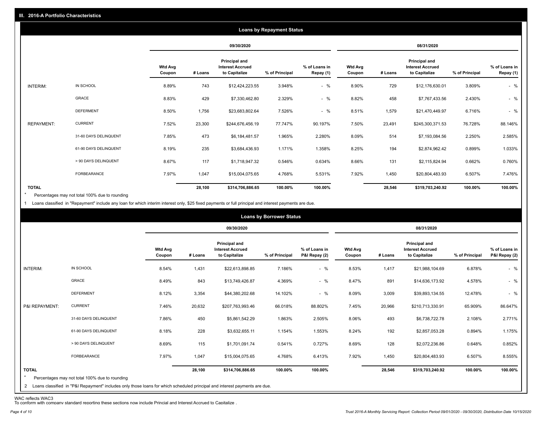|                   | <b>Loans by Repayment Status</b> |                          |            |                                                           |                |                            |                   |         |                                                                  |                |                            |
|-------------------|----------------------------------|--------------------------|------------|-----------------------------------------------------------|----------------|----------------------------|-------------------|---------|------------------------------------------------------------------|----------------|----------------------------|
|                   |                                  |                          | 09/30/2020 |                                                           |                |                            | 08/31/2020        |         |                                                                  |                |                            |
|                   |                                  | <b>Wtd Avg</b><br>Coupon | # Loans    | Principal and<br><b>Interest Accrued</b><br>to Capitalize | % of Principal | % of Loans in<br>Repay (1) | Wtd Avg<br>Coupon | # Loans | <b>Principal and</b><br><b>Interest Accrued</b><br>to Capitalize | % of Principal | % of Loans in<br>Repay (1) |
| INTERIM:          | IN SCHOOL                        | 8.89%                    | 743        | \$12,424,223.55                                           | 3.948%         | $-$ %                      | 8.90%             | 729     | \$12,176,630.01                                                  | 3.809%         | $-$ %                      |
|                   | GRACE                            | 8.83%                    | 429        | \$7,330,462.80                                            | 2.329%         | $-$ %                      | 8.82%             | 458     | \$7,767,433.56                                                   | 2.430%         | $-$ %                      |
|                   | <b>DEFERMENT</b>                 | 8.50%                    | 1,756      | \$23,683,802.64                                           | 7.526%         | $-$ %                      | 8.51%             | 1,579   | \$21,470,449.97                                                  | 6.716%         | $-$ %                      |
| <b>REPAYMENT:</b> | <b>CURRENT</b>                   | 7.52%                    | 23,300     | \$244,676,456.19                                          | 77.747%        | 90.197%                    | 7.50%             | 23,491  | \$245,300,371.53                                                 | 76.728%        | 88.146%                    |
|                   | 31-60 DAYS DELINQUENT            | 7.85%                    | 473        | \$6,184,481.57                                            | 1.965%         | 2.280%                     | 8.09%             | 514     | \$7,193,084.56                                                   | 2.250%         | 2.585%                     |
|                   | 61-90 DAYS DELINQUENT            | 8.19%                    | 235        | \$3,684,436.93                                            | 1.171%         | 1.358%                     | 8.25%             | 194     | \$2,874,962.42                                                   | 0.899%         | 1.033%                     |
|                   | > 90 DAYS DELINQUENT             | 8.67%                    | 117        | \$1,718,947.32                                            | 0.546%         | 0.634%                     | 8.66%             | 131     | \$2,115,824.94                                                   | 0.662%         | 0.760%                     |
|                   | FORBEARANCE                      | 7.97%                    | 1,047      | \$15,004,075.65                                           | 4.768%         | 5.531%                     | 7.92%             | 1,450   | \$20,804,483.93                                                  | 6.507%         | 7.476%                     |
| <b>TOTAL</b>      |                                  |                          | 28,100     | \$314,706,886.65                                          | 100.00%        | 100.00%                    |                   | 28,546  | \$319,703,240.92                                                 | 100.00%        | 100.00%                    |

Percentages may not total 100% due to rounding \*

1 Loans classified in "Repayment" include any loan for which interim interest only, \$25 fixed payments or full principal and interest payments are due.

| 09/30/2020<br>08/31/2020<br>Principal and<br>Principal and<br><b>Wtd Avg</b><br><b>Interest Accrued</b><br>% of Loans in<br><b>Wtd Avg</b><br><b>Interest Accrued</b><br>P&I Repay (2)<br># Loans<br>to Capitalize<br>% of Principal<br>to Capitalize<br>Coupon<br>Coupon<br># Loans<br>IN SCHOOL<br>8.54%<br>$-$ %<br>8.53%<br>INTERIM:<br>1,431<br>\$22,613,898.85<br>7.186%<br>1,417<br>\$21,988,104.69<br>GRACE<br>$-$ %<br>843<br>8.47%<br>891<br>8.49%<br>\$13,749,426.87<br>4.369%<br>\$14,636,173.92<br><b>DEFERMENT</b><br>$-$ %<br>8.12%<br>3,354<br>14.102%<br>\$44,380,202.68<br>8.09%<br>3,009<br>\$39,893,134.55 |                                                  |
|--------------------------------------------------------------------------------------------------------------------------------------------------------------------------------------------------------------------------------------------------------------------------------------------------------------------------------------------------------------------------------------------------------------------------------------------------------------------------------------------------------------------------------------------------------------------------------------------------------------------------------|--------------------------------------------------|
|                                                                                                                                                                                                                                                                                                                                                                                                                                                                                                                                                                                                                                |                                                  |
|                                                                                                                                                                                                                                                                                                                                                                                                                                                                                                                                                                                                                                | % of Loans in<br>P&I Repay (2)<br>% of Principal |
|                                                                                                                                                                                                                                                                                                                                                                                                                                                                                                                                                                                                                                | $-$ %<br>6.878%                                  |
|                                                                                                                                                                                                                                                                                                                                                                                                                                                                                                                                                                                                                                | $-$ %<br>4.578%                                  |
|                                                                                                                                                                                                                                                                                                                                                                                                                                                                                                                                                                                                                                | $-$ %<br>12.478%                                 |
| <b>CURRENT</b><br>P&I REPAYMENT:<br>7.46%<br>20,632<br>\$207,763,993.46<br>66.018%<br>88.802%<br>7.45%<br>20,966<br>\$210,713,330.91                                                                                                                                                                                                                                                                                                                                                                                                                                                                                           | 65.909%<br>86.647%                               |
| 31-60 DAYS DELINQUENT<br>7.86%<br>450<br>1.863%<br>8.06%<br>493<br>\$5,861,542.29<br>2.505%<br>\$6,738,722.78                                                                                                                                                                                                                                                                                                                                                                                                                                                                                                                  | 2.771%<br>2.108%                                 |
| 61-90 DAYS DELINQUENT<br>8.18%<br>228<br>1.154%<br>192<br>\$3,632,655.11<br>1.553%<br>8.24%<br>\$2,857,053.28                                                                                                                                                                                                                                                                                                                                                                                                                                                                                                                  | 1.175%<br>0.894%                                 |
| > 90 DAYS DELINQUENT<br>8.69%<br>115<br>0.727%<br>8.69%<br>128<br>\$1,701,091.74<br>0.541%<br>\$2,072,236.86                                                                                                                                                                                                                                                                                                                                                                                                                                                                                                                   | 0.852%<br>0.648%                                 |
| FORBEARANCE<br>7.97%<br>1,047<br>4.768%<br>6.413%<br>7.92%<br>1,450<br>\$15,004,075.65<br>\$20,804,483.93                                                                                                                                                                                                                                                                                                                                                                                                                                                                                                                      | 8.555%<br>6.507%                                 |
| <b>TOTAL</b><br>28,100<br>100.00%<br>28,546<br>\$314,706,886.65<br>100.00%<br>\$319,703,240.92<br>$\star$<br>Percentages may not total 100% due to rounding<br>2 Loans classified in "P&I Repayment" includes only those loans for which scheduled principal and interest payments are due.                                                                                                                                                                                                                                                                                                                                    | 100.00%<br>100.00%                               |

WAC reflects WAC3 To conform with company standard reporting these sections now include Princial and Interest Accrued to Capitalize .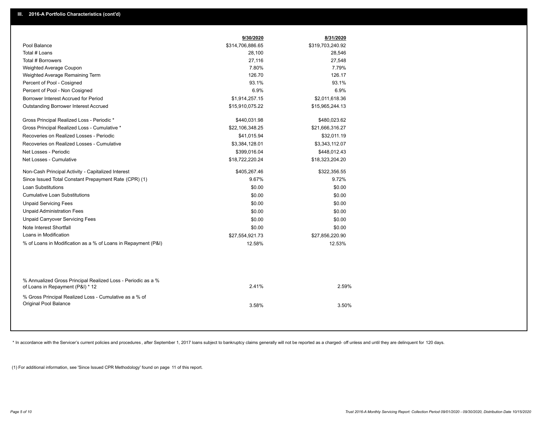|                                                                                                  | 9/30/2020        | 8/31/2020        |  |
|--------------------------------------------------------------------------------------------------|------------------|------------------|--|
| Pool Balance                                                                                     | \$314,706,886.65 | \$319,703,240.92 |  |
| Total # Loans                                                                                    | 28,100           | 28,546           |  |
| Total # Borrowers                                                                                | 27,116           | 27,548           |  |
| Weighted Average Coupon                                                                          | 7.80%            | 7.79%            |  |
| Weighted Average Remaining Term                                                                  | 126.70           | 126.17           |  |
| Percent of Pool - Cosigned                                                                       | 93.1%            | 93.1%            |  |
| Percent of Pool - Non Cosigned                                                                   | 6.9%             | 6.9%             |  |
| Borrower Interest Accrued for Period                                                             | \$1,914,257.15   | \$2,011,618.36   |  |
| Outstanding Borrower Interest Accrued                                                            | \$15,910,075.22  | \$15,965,244.13  |  |
| Gross Principal Realized Loss - Periodic *                                                       | \$440,031.98     | \$480,023.62     |  |
| Gross Principal Realized Loss - Cumulative *                                                     | \$22,106,348.25  | \$21,666,316.27  |  |
| Recoveries on Realized Losses - Periodic                                                         | \$41,015.94      | \$32,011.19      |  |
| Recoveries on Realized Losses - Cumulative                                                       | \$3,384,128.01   | \$3,343,112.07   |  |
| Net Losses - Periodic                                                                            | \$399,016.04     | \$448,012.43     |  |
| Net Losses - Cumulative                                                                          | \$18,722,220.24  | \$18,323,204.20  |  |
| Non-Cash Principal Activity - Capitalized Interest                                               | \$405,267.46     | \$322,356.55     |  |
| Since Issued Total Constant Prepayment Rate (CPR) (1)                                            | 9.67%            | 9.72%            |  |
| Loan Substitutions                                                                               | \$0.00           | \$0.00           |  |
| <b>Cumulative Loan Substitutions</b>                                                             | \$0.00           | \$0.00           |  |
| <b>Unpaid Servicing Fees</b>                                                                     | \$0.00           | \$0.00           |  |
| <b>Unpaid Administration Fees</b>                                                                | \$0.00           | \$0.00           |  |
| <b>Unpaid Carryover Servicing Fees</b>                                                           | \$0.00           | \$0.00           |  |
| Note Interest Shortfall                                                                          | \$0.00           | \$0.00           |  |
| Loans in Modification                                                                            | \$27,554,921.73  | \$27,856,220.90  |  |
| % of Loans in Modification as a % of Loans in Repayment (P&I)                                    | 12.58%           | 12.53%           |  |
|                                                                                                  |                  |                  |  |
| % Annualized Gross Principal Realized Loss - Periodic as a %<br>of Loans in Repayment (P&I) * 12 | 2.41%            | 2.59%            |  |
| % Gross Principal Realized Loss - Cumulative as a % of                                           |                  |                  |  |
| Original Pool Balance                                                                            | 3.58%            | 3.50%            |  |
|                                                                                                  |                  |                  |  |
|                                                                                                  |                  |                  |  |

\* In accordance with the Servicer's current policies and procedures, after September 1, 2017 loans subject to bankruptcy claims generally will not be reported as a charged- off unless and until they are delinquent for 120

(1) For additional information, see 'Since Issued CPR Methodology' found on page 11 of this report.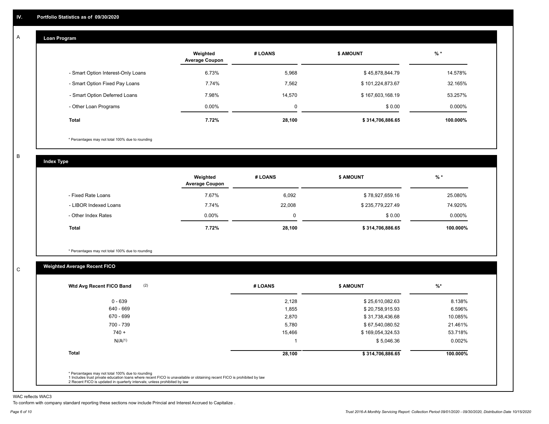#### **Loan Program**  A

|                                    | Weighted<br><b>Average Coupon</b> | # LOANS     | <b>\$ AMOUNT</b> | $%$ *     |
|------------------------------------|-----------------------------------|-------------|------------------|-----------|
| - Smart Option Interest-Only Loans | 6.73%                             | 5,968       | \$45,878,844.79  | 14.578%   |
| - Smart Option Fixed Pay Loans     | 7.74%                             | 7,562       | \$101,224,873.67 | 32.165%   |
| - Smart Option Deferred Loans      | 7.98%                             | 14.570      | \$167,603,168.19 | 53.257%   |
| - Other Loan Programs              | $0.00\%$                          | $\mathbf 0$ | \$0.00           | $0.000\%$ |
| <b>Total</b>                       | 7.72%                             | 28,100      | \$314,706,886.65 | 100.000%  |

\* Percentages may not total 100% due to rounding

B

C

**Index Type**

|                       | Weighted<br><b>Average Coupon</b> | # LOANS | <b>\$ AMOUNT</b> | $%$ *     |
|-----------------------|-----------------------------------|---------|------------------|-----------|
| - Fixed Rate Loans    | 7.67%                             | 6,092   | \$78,927,659.16  | 25.080%   |
| - LIBOR Indexed Loans | 7.74%                             | 22,008  | \$235,779,227.49 | 74.920%   |
| - Other Index Rates   | $0.00\%$                          |         | \$0.00           | $0.000\%$ |
| Total                 | 7.72%                             | 28,100  | \$314,706,886.65 | 100.000%  |

\* Percentages may not total 100% due to rounding

# **Weighted Average Recent FICO**

| (2)<br>Wtd Avg Recent FICO Band                                                                                                                                                                                                                          | # LOANS | <b>\$ AMOUNT</b> | $%$ *    |
|----------------------------------------------------------------------------------------------------------------------------------------------------------------------------------------------------------------------------------------------------------|---------|------------------|----------|
| $0 - 639$                                                                                                                                                                                                                                                | 2,128   | \$25,610,082.63  | 8.138%   |
| 640 - 669                                                                                                                                                                                                                                                | 1,855   | \$20,758,915.93  | 6.596%   |
| 670 - 699                                                                                                                                                                                                                                                | 2,870   | \$31,738,436.68  | 10.085%  |
| 700 - 739                                                                                                                                                                                                                                                | 5,780   | \$67,540,080.52  | 21.461%  |
| $740 +$                                                                                                                                                                                                                                                  | 15,466  | \$169,054,324.53 | 53.718%  |
| N/A <sup>(1)</sup>                                                                                                                                                                                                                                       |         | \$5,046.36       | 0.002%   |
| <b>Total</b>                                                                                                                                                                                                                                             | 28,100  | \$314,706,886.65 | 100.000% |
| * Percentages may not total 100% due to rounding<br>1 Includes trust private education loans where recent FICO is unavailable or obtaining recent FICO is prohibited by law<br>2 Recent FICO is updated in quarterly intervals; unless prohibited by law |         |                  |          |

WAC reflects WAC3

To conform with company standard reporting these sections now include Princial and Interest Accrued to Capitalize .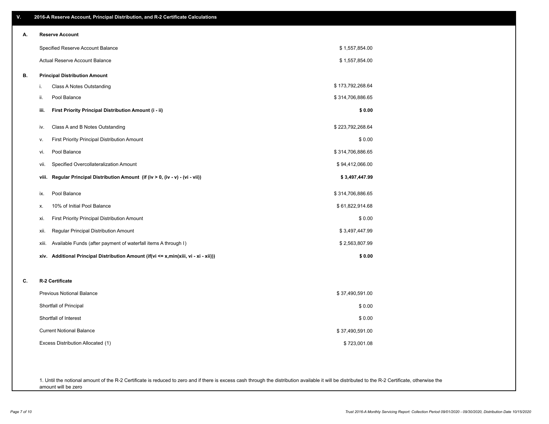| ۷. | 2016-A Reserve Account, Principal Distribution, and R-2 Certificate Calculations        |                  |
|----|-----------------------------------------------------------------------------------------|------------------|
| А. | <b>Reserve Account</b>                                                                  |                  |
|    | Specified Reserve Account Balance                                                       | \$1,557,854.00   |
|    | Actual Reserve Account Balance                                                          | \$1,557,854.00   |
| В. | <b>Principal Distribution Amount</b>                                                    |                  |
|    | i.<br>Class A Notes Outstanding                                                         | \$173,792,268.64 |
|    | Pool Balance<br>ii.                                                                     | \$314,706,886.65 |
|    | First Priority Principal Distribution Amount (i - ii)<br>iii.                           | \$0.00           |
|    | Class A and B Notes Outstanding<br>iv.                                                  | \$223,792,268.64 |
|    | First Priority Principal Distribution Amount<br>v.                                      | \$0.00           |
|    | Pool Balance<br>vi.                                                                     | \$314,706,886.65 |
|    | Specified Overcollateralization Amount<br>vii.                                          | \$94,412,066.00  |
|    | Regular Principal Distribution Amount (if (iv > 0, (iv - v) - (vi - vii))<br>viii.      | \$3,497,447.99   |
|    | Pool Balance<br>ix.                                                                     | \$314,706,886.65 |
|    | 10% of Initial Pool Balance<br>х.                                                       | \$61,822,914.68  |
|    | First Priority Principal Distribution Amount<br>xi.                                     | \$0.00           |
|    | Regular Principal Distribution Amount<br>xii.                                           | \$3,497,447.99   |
|    | Available Funds (after payment of waterfall items A through I)<br>xiii.                 | \$2,563,807.99   |
|    | Additional Principal Distribution Amount (if(vi <= x,min(xiii, vi - xi - xii)))<br>xiv. | \$0.00           |
| C. | R-2 Certificate                                                                         |                  |
|    | <b>Previous Notional Balance</b>                                                        | \$37,490,591.00  |
|    | Shortfall of Principal                                                                  | \$0.00           |
|    | Shortfall of Interest                                                                   | \$0.00           |
|    | <b>Current Notional Balance</b>                                                         | \$37,490,591.00  |
|    | Excess Distribution Allocated (1)                                                       | \$723,001.08     |
|    |                                                                                         |                  |
|    |                                                                                         |                  |

1. Until the notional amount of the R-2 Certificate is reduced to zero and if there is excess cash through the distribution available it will be distributed to the R-2 Certificate, otherwise the amount will be zero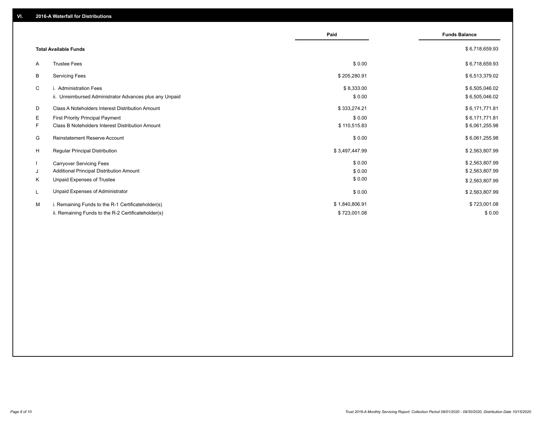|                                                               | Paid           | <b>Funds Balance</b> |
|---------------------------------------------------------------|----------------|----------------------|
| <b>Total Available Funds</b>                                  |                | \$6,718,659.93       |
| <b>Trustee Fees</b><br>A                                      | \$0.00         | \$6,718,659.93       |
| <b>Servicing Fees</b><br>В                                    | \$205,280.91   | \$6,513,379.02       |
| C<br>i. Administration Fees                                   | \$8,333.00     | \$6,505,046.02       |
| ii. Unreimbursed Administrator Advances plus any Unpaid       | \$0.00         | \$6,505,046.02       |
| D<br>Class A Noteholders Interest Distribution Amount         | \$333,274.21   | \$6,171,771.81       |
| E.<br><b>First Priority Principal Payment</b>                 | \$0.00         | \$6,171,771.81       |
| F.<br><b>Class B Noteholders Interest Distribution Amount</b> | \$110,515.83   | \$6,061,255.98       |
| Reinstatement Reserve Account<br>G                            | \$0.00         | \$6,061,255.98       |
| H<br><b>Regular Principal Distribution</b>                    | \$3,497,447.99 | \$2,563,807.99       |
| <b>Carryover Servicing Fees</b>                               | \$0.00         | \$2,563,807.99       |
| Additional Principal Distribution Amount<br>J                 | \$0.00         | \$2,563,807.99       |
| Unpaid Expenses of Trustee<br>K                               | \$0.00         | \$2,563,807.99       |
| Unpaid Expenses of Administrator<br>L                         | \$0.00         | \$2,563,807.99       |
| M<br>i. Remaining Funds to the R-1 Certificateholder(s)       | \$1,840,806.91 | \$723,001.08         |
| ii. Remaining Funds to the R-2 Certificateholder(s)           | \$723,001.08   | \$0.00               |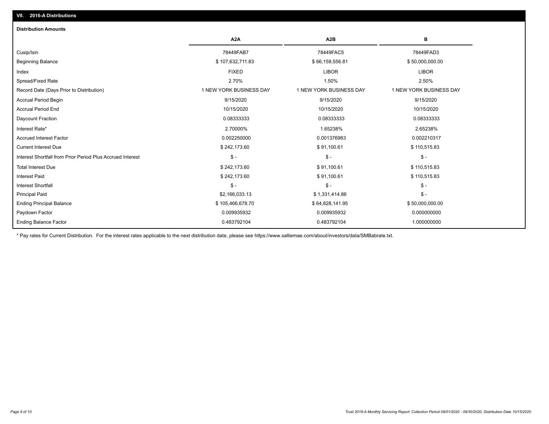# Ending Balance Factor Paydown Factor 0.009935932 0.009935932 0.000000000 Ending Principal Balance \$ 105,466,678.70 \$ \$64,828,141.95 \$64,828,141.95 \$50,000,000.00 Principal Paid \$2,166,033.13 \$ 1,331,414.86 \$ - Interest Shortfall \$ - \$ - \$ - Interest Paid \$ 242,173.60 \$ 91,100.61 \$ 110,515.83 Total Interest Due \$ 242,173.60 \$ 91,100.61 \$ 110,515.83 Interest Shortfall from Prior Period Plus Accrued Interest \$ - \$ - \$ - Current Interest Due \$ 242,173.60 \$ 91,100.61 \$ 110,515.83 Accrued Interest Factor 0.002250000 0.001376983 0.002210317 Interest Rate\* 2.70000% 1.65238% 2.65238% Daycount Fraction 0.08333333 0.08333333 0.08333333 Accrual Period End 10/15/2020 10/15/2020 10/15/2020 Accrual Period Begin 9/15/2020 9/15/2020 9/15/2020 Record Date (Days Prior to Distribution) 1 1 NEW YORK BUSINESS DAY 1 NEW YORK BUSINESS DAY 1 NEW YORK BUSINESS DAY Spread/Fixed Rate 2.70% 1.50% 2.50% Index FIXED LIBOR LIBOR Beginning Balance \$ 107,632,711.83 \$ 66,159,556.81 \$ 50,000,000.00 Cusip/Isin 78449FAB7 78449FAC5 78449FAD3 **A2A A2B B** 0.483792104 0.483792104 1.000000000 **Distribution Amounts**

\* Pay rates for Current Distribution. For the interest rates applicable to the next distribution date, please see https://www.salliemae.com/about/investors/data/SMBabrate.txt.

**VII. 2016-A Distributions**